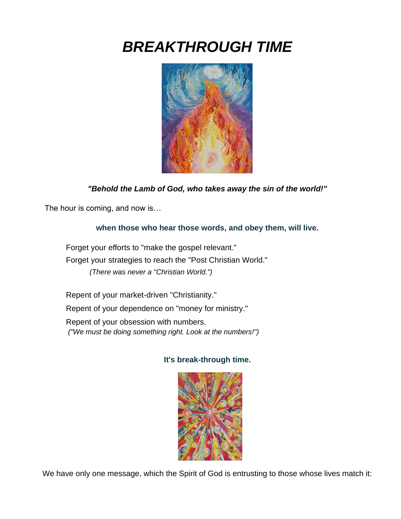# *BREAKTHROUGH TIME*



# *"Behold the Lamb of God, who takes away the sin of the world!"*

The hour is coming, and now is…

#### **when those who hear those words, and obey them, will live.**

Forget your efforts to "make the gospel relevant." Forget your strategies to reach the "Post Christian World." *(There was never a "Christian World.")*

Repent of your market-driven "Christianity." Repent of your dependence on "money for ministry." Repent of your obsession with numbers.

*("We must be doing something right. Look at the numbers!")*

#### **It's break-through time.**



We have only one message, which the Spirit of God is entrusting to those whose lives match it: